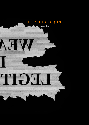## CHEKHOV'S GUN



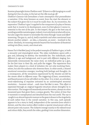Russian playwright Anton Chekhov said: 'If there is a rifle hanging on a wall during Act One of a play, in the last act the rifle must go off.'

Chekhov's famous rule formalizes a basic assumption that premeditates a narrative: if the story foresees an event, from the start the element or the subject that gives rise to it must be made clear. So, by convention, the expression 'Chekhov's gun' is applied to the component of a play or literary work that is crucial to its development, even if at first glance it seems inessential to the rest of the plot. In this respect, the gun is the best way of avoiding possible narrative gaps; indeed, it not only hints at what will occur, but also urges the viewer to reconsider the story through 'cause and effect' reasoning. The gun in, and of, itself is symbolic and when mentioned may denote another subject – an idea, a character, an event – involved in the action. Similarly, its meaning extends beyond the boundaries of theatrical writing into films, music, and visual arts.

Nasan Tur's *First Shot (2014)* is the perfect example of Chekhov's gun, in both a semantic and etymological sense. The video installation opens with a gun and, following its destiny: the inevitable fire. Ten individuals, each different in age and background, and in part with different staging, fundamentally communicate the same story: an individual picks up a gun, for the first time in their life, and pulls the trigger. The experience thus makes them players in a kind of initiation rite not only involving themselves, but also the audience who observes them. In other words, a shared emotional connection emerges, touching both feelings and thoughts. As a consequence, all the sensations experienced by the shooter are felt by the viewer albeit in different ways. The triggering of fears, uncertainties, and flawed powers of one will reflect on the other. It is, in fact, an unbroken cross-referencing of impulses activated by an uninterrupted sensorial revolution – however virtual – each time *First Shot* is seen. This effect is expressed through an original linguistic structure whose strengths lie in slow motion. The images roll seamlessly across the screen, always at a slow measured pace that gives them a unique gravity. The notion of time that it transmits is metaphysical and detached from the real world. The eye is caught in an almost hypnotic manner so the gaze is drawn to the singularity of each rather than to the overall narrative. In this way, each episode appears to be a story in itself, independent of the narrative from which it derives, and the slow motion effect confers a special visual power with an almost paint-erly nuance. The subjects emerge mainly in the refined tonal and colour shifts, they enrich the video, guiding it into another dimension.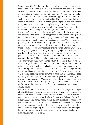It could said *First Shot* is more like a 'painting in motion' than a video installation. In its own way, it is a perspectival, malleable, gleaming structure representing one of the most intense testimonies of Tur's original and equally personal rapport with painting. Although not immediately evident, the artist cultivates this close rapport with other contexts, such as history or social aspects of reality. The result is an anthology of creative proposals that differ in technique and type but that are close in interpretation and syntax. For example, staying within the realm of video installations, *Ritual (2005)* and *In My Pants (2015)* reveal Tur's strong interest in analysing the value of colour and light in the composition, as well as the human figure expressed in the form of a portrait in the former and a self-portrait in the latter. A similar approach is found in the photographic cycle *Clouds (2012-13),* where colour plays an essential role in defining the perspective and plastic system of the vistas depicted. Tur also comes to painting through an exploration of graphic idiom. Consider *City Says... (2013)*, a performance of transcribing and overlapping slogans similar to those seen all over urban landscapes is transformed into the artist's ideal reading of the poetics in action painting and graffiti art. Much the same can be said for *Police Paintings (2014-15)*, works based on large, uniform fields of colour that are conceptually reminiscent of those made to conceal urban graffiti but visually echo the notion of sign/gesture/matter conceived within an informal framework. In these works, Tur covers various ideological and operational fields in a free interpretation of various roles. He relies as much on intellect as on emotion, on reason as much as on perception, on analytical capacity as much as on ideological drive, assuming different expressive structures in each case. It also requires Tur to recall operating codes from the distant and the immediate past, updating solutions offered by the latest technological means, setting them in a contemporary context. These are experiments implemented by means of a very wide range of methods (painting, sculpture, drawing, installation, performance, photography, video…) in tones that are at times more radical and an iconic.

Nasan Tur is a witness of his time and *First Shot* is a revealing example, effectively able to sum up the artist's research in all its complexity. Indeed, the value of the video installation goes far beyond what it seems to say and it would be a serious error to dwell only on the 'cause and effect' relationship it puts in place. It is simply not enough to analyse the sense of awe and – in some cases – the anxiety it arouses in the viewer, or to watch the video as if it were a recorded news item. Chekhov's gun is proof of this: everything is clear from the beginning. So it is advisable to go beyond the contingent fact and contextualize *First Shot* within Tur's poetics, considering how much it will represent a case in point.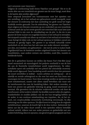#### Het geweer van Tsjechov

Volgens de overlevering heeft Anton Tsjechov ooit gezegd: 'Als er in de eerste akte van een toneelstuk een geweer aan de muur hangt, moet deze in de laatste akte worden afgevuurd'

Deze uitspraak formuleert een basisaanname voor het opzetten van een vertelling: als in het verhaal een gebeurtenis wordt voorspeld, moet het element of onderwerp dat daar aanleiding toe geeft vanaf het begin duidelijk worden gemaakt. Dus de uitdrukking 'het geweer van Tsjechov' slaat volgens een literaire conventie op een onderdeel van een toneelstuk of literair werk dat op het eerste gezicht niet essentieel lijkt maar later juist cruciaal blijkt te zijn voor de ontwikkeling van de plot. In die zin is een geweer de beste manier om mogelijke leemten in het verhaal te vermijden. Het zinspeelt namelijk niet alleen op wat later in het verhaal zal voorvallen, maar dwingt de kijker ook om het verhaal opnieuw te bekijken vanuit een 'oorzaak en gevolg'-logica. Het geweer is op zichzelf natuurlijk zuiver symbolisch en als term kan het ook naar een ander element verwijzen – een idee, een karakter, een gebeurtenis – dat met de actie te maken heeft. Tegelijkertijd kan de betekenis worden uitgebreid buiten het domein van toneelteksten, naar andere vormen van vertellen, zoals film, muziek en beeldende kunst.

Met dit in gedachten kunnen we stellen dat Nasan Tur's *First Shot (2014)*  zowel semantisch als etymologisch het perfecte voorbeeld is van de hint die aan de Russische toneelschrijver wordt toegeschreven. De videoinstallatie opent ook werkelijk met een pistool dat uiteindelijk onvermijdelijk wordt afgevuurd. Deze handeling wordt verricht door tien personen die zowel verschillen in leeftijd – tussen achttien en tachtig jaar – als in uiterlijk en sociale achtergrond en die voor het eerst van hun leven een vuurwapen ter hand nemen. Door deze ervaring worden ze spelers in een soort initiatieritueel, waarin niet alleen zijzelf betrokken zijn maar ook de toeschouwers die naar de handeling kijken. Met andere woorden, er komt een proces van gedeelde beleving op gang, zowel emotioneel als mentaal. Alle gevoelens die de schutter ondervindt worden ook door de toeschouwer, zij het anders, beleefd. Op dezelfde manier zullen de angsten, onzekerheden en zwakke plekken van de een hun terugslag hebben op de ander, in een continue wisselwerking van impulsen, die, zij het virtueel, een onophoudelijke sensorische kortsluiting veroorzaakt, bij elke vertoning van de video opnieuw. Dit effect komt tot uiting door de originele vertelstructuur, waarvan de kracht ligt in de slow motion. Gedurende het kleine uur dat de video duurt wordt in tien episoden telkens hetzelfde verhaal verteld, telkens met een ander persoon en gedeeltelijk met een andere belichting, kleur en opname, van geval tot geval aangepast aan hun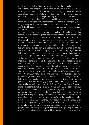uiterlijke verschijning. Maar de essentie blijft fundamenteel ongewijzigd: een individu pakt het pistool op en haalt de trekker over. Dus wat maakt deze vijftig minuten waarbinnen *First Shot* zich afspeelt zo verrassend rijk geschakeerd en divers? Welke kracht dwingt de toeschouwer om naar de video te blijven kijken, vaak zelfs langdurig, terwijl het scenario iedere keer ongewijzigd wordt herhaald? De beelden glijden naadloos over het scherm in een langzaam afgemeten tempo waarmee ze een uniek, specifiek gewicht krijgen en op een hypnotische wijze onze aandacht vasthouden. Daardoor wordt de blik meer getrokken naar het bijzondere van ieder beeld dan naar het narratieve geheel. Elke visuele fase lijkt een verhaal op zichzelf te zijn, onafhankelijk van de vertelling waar het deel van uitmaakt; en het slow motioneffect verleent het geheel een speciale visuele kracht die iets van schilderkunst krijgt. Dat laatste komt naar voren in de verfijnde toon- en kleurverschuivingen; je zou kunnen zeggen, om toch nog de vergelijking met cinema vast te houden, dat ze de video verrijken, naar een andere dimensie verplaatsen en boven zichzelf uit laten stijgen. Zover zelfs dat je *First Shot* eerder als een bewegend schilderij dan als een video-installatie zou kunnen typeren. Het bezit op zijn eigen manier een perspectivische, lichtende structuur en biedt een van de meest intense illustraties van Turs even originele als persoonlijke verstandhouding met het medium schilderen. De kunstenaar cultiveert zo'n nauwe verstandhouding ook met andere contexten, zoals geschiedenis of de sociale aspecten van de werkelijkheid, ook al is dat niet altijd onmiddellijk duidelijk. Het resultaat is een anthologie van creatieve ideeën die zich qua techniek en soort van elkaar onderscheiden, maar qua interpretatie en syntaxis nauw verwant zijn. Als we binnen het domein van de video-installaties blijven is daar bijvoorbeeld naast *First Shot* ook *Ritual (2005)* en *In My Pants (2015)*, die Turs grote belangstelling tonen in het analyseren van het belang van kleur en licht in een compositie, en ook van de menselijke figuur, die in het ene geval als portret wordt weergegeven en in het andere als zelfportret. Een soortgelijke aanpak is te vinden in de fotocyclus *Clouds (2012-13)*, waarin kleur een essentiële rol speelt in het afbakenen van het perspectivische en plastische systeem van de afgebeelde vergezichten. Tur raakt ook aan schilderkunst door zijn onderzoek van het grafische idioom. In de performance *City Says…(2013)* bijvoorbeeld wordt het overschrijven en over elkaar heen plaatsen van slogans zoals we die dagelijks overal in het stedelijk landschap aantreffen (met spray op een witte muur in de tentoonstellingsruimte geschilderd) getransformeerd in de ideale herinterpretatie van de kunstenaar van de poëtica van action painting en graffitikunst. Iets soortgelijks geldt voor *Police Paintings (2014-15)*, werken die gebaseerd zijn op grote uniforme kleurenvelden die conceptueel doen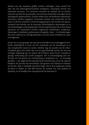denken aan die waarmee graffiti worden verborgen, maar visueel het idee van een teken/gebaar/materie weergeven, ontworpen binnen een informele structuur. Tur vertrouwt evenveel op intellect als op emotie, evenveel op rede als op perceptie, evenveel op analytisch vermogen als op ideologische gedrevenheid, waarbij iedere keer verschillende expressieve structuren worden toegepast. Daarnaast worden ook werkcodes uit het verre en directe verleden in herinnering geroepen; die worden dan geactualiseerd met behulp van de nieuwste technologische oplossingen en in een hedendaagse context geplaatst. Dit zijn experimenten die in een breed spectrum van werkwijzen worden uitgevoerd (schilderijen, sculpturen, tekeningen, installaties, performance, fotografie, video…) in schakeringen die soms radicaal en niet figuratief zijn, en soms meer vertellend en open voor figuratie.

Nasan Tur is een getuige van zijn tijd en *First Shot* is een veelzeggend voorbeeld, doeltreffend in staat om het onderzoek van de kunstenaar in al zijn complexiteit samen te vatten. Sterker nog, de waarde van de videoinstallatie gaat veel verder dan wat zij ogenschijnlijk vertelt; het zou een ernstige vergissing zijn om alleen stil te blijven staan bij de 'oorzaak en gevolg'-verhouding die wordt neergezet. Het is eenvoudigweg niet voldoende om het gevoel van verbijstering te analyseren en – in sommige gevallen – van angst die het oproept bij de toeschouwer, of om de video te bekijken als was het een nieuwsitem. Het geweer van Tsjechov is hiervan het bewijs: alles is duidelijk vanaf het begin. Het is dus raadzaam voorbij de feiten te kijken en *First Shot* binnen de context van Turs poëtica te plaatsen, en te beseffen hoe exemplarisch het daarvoor is.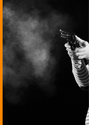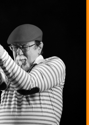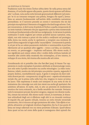### La pistola di Čechov

Tradizione vuole che Anton Čechov abbia detto 'Se nella prima scena del dramma, c'è un fucile appeso alla parete, questo dovrà sparare nell'ultimo atto'. La frase, nota anche sotto formule grammaticali differenti (ad esempio 'se in un romanzo compare una pistola, bisogna che spari'), formalizza un assunto fondamentale nell'ambito della cosiddetta narrazione premeditata: se il racconto prevede un evento è necessario che sin dal principio sia esplicitato l'elemento o il soggetto che darà luogo ad esso. Così, per convenzione, si dà il nome di pistola di Čechov a quella componente di un testo teatrale o letterario che pur apparendo a prima vista inessenziale si rivela poi fondamentale ai fini del suo svolgimento. In tal senso la pistola costituisce il modo migliore per evitare possibili lacune narrative; essa, infatti, non solo insinua a priori ciò che andrà a verificarsi nel prosieguo della storia ma esorta anche lo spettatore a compiere una revisione di quest'ultima seguendo la logica della 'causa/effetto'. Ovviamente la pistola in sé per sé ha un valore puramente simbolico e nominandola si può fare riferimento ad un qualsiasi altro oggetto — come a un'idea, un carattere, un evento, un personaggio — implicato nell'azione. Allo stesso modo, il suo significato può essere esteso oltre i confini della scrittura teatrale ed investire altri ambiti della creatività che contemplino, al loro interno, lo sviluppo di una storia, dal cinema alla musica alle arti visive.

Considerando ciò si potrebbe dire che *First Shot (2014)* di Nasan Tur rappresenta in modo esemplare il pensiero attribuito al drammaturgo russo, non solo sotto il profilo semantico ma anche etimologico. La video installazione, infatti, mostra sin dal principio una pistola e questa, seguendo il proprio destino, inevitabilmente spara. Il gesto è compiuto da dieci individui diversi per età — compresa tra i 18 agli 80 anni — aspetto ed estrazione sociale che, per la prima volta nella loro vita, tengono in mano un'arma da fuoco. Tale esperienza li rende così interpreti di una sorta di rito di iniziazione che coinvolge non solo loro stessi ma anche gli spettatori che assistono all'azione. Si mette, cioè, in atto un processo di condivisione emotiva che tocca entrambi, sia a livello sensibile che mentale. Pertanto tutte le sensazioni provate dai primi vengono, seppure con diverse modalità, vissute dai secondi. Allo stesso modo i timori, le incertezze, le sbavature attitudinali degli uni si riflettono sugli altri in un rimando continuo di impulsi che, per quanto virtuale, innesca un corto circuito sensoriale ininterrotto, che si rinnova ad ogni proiezione del video. Tale effetto si esplicita attraverso un'originale struttura linguistica che ha il suo punto di forza nei tempi rallentati con cui viene proiettato il filmato. Quest'ultimo dura quasi un'ora nel corso della quale si susseguono dieci episodi che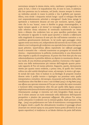raccontano sempre la stessa storia; certo, cambiano i protagonisti e, in parte, le luci, i colori e le inquadrature che, di caso in caso, si adattano alla loro presenza ma la sostanza, nel fondo, rimane sempre la stessa: un individuo prende in mano la pistola e tira il grilletto per sparare. Allora, cosa rende i cinquanta minuti lungo i quali si sviluppa *First shot* così sorprendentemente articolati e eterogenei? Quale forza spinge lo spettatore a trattenersi dinanzi ad esso per momenti, spesso, lunghi visto che la sua 'trama', come si direbbe in gergo cinematografico, si ripete sempre uguale a sé stessa? Le immagini, infatti, si susseguono sullo schermo senza soluzione di continuità mantenendo un ritmo lento e dilatato che conferisce loro un peso specifico particolare, tale da catturare lo sguardo in modo quasi ipnotico e indurlo a soffermarsi sulla singolarità di ciascuna di esse più che sull'insieme narrativo a cui sarebbero geneticamente destinate. In tal modo ogni passaggio visivo appare come una storia a sé, indipendente dal racconto da cui è tratto, ed il ralenti a cui è sottoposto gli conferisce una speciale forza visiva dal sapore quasi pittorico. Quest'ultima affiora soprattutto nei raffinati passaggi tonali e cromatici che — volendo mantenere un paragone col mondo del cinema — impreziosiscono la pellicola conducendola in una dimensione altra rispetto a quella di competenza. Al punto che First shot più che una videoinstallazione si potrebbe definire un dipinto in movimento dotato, a suo modo, di una struttura prospettica, plastica e luminosa e che rappresenta una delle testimonianze più intense dell'originale quanto personale rapporto di Tur col mezzo pittorico. Rapporto, questo, decisamente stretto per quanto meno evidente, a prima vista, di quello che l'artista coltiva con altri ambiti disciplinari come, ad esempio, la storia o gli aspetti sociali del reale. Esso si traduce in un florilegio di proposte creative diverse sotto il profilo tecnico e tipologico ma prossime sotto quello interpretativo e sintattico. Ad esempio, rimanendo nell'ambito della video installazione oltre *First Shot* vi sono i casi di *Ritual (2005)* e *In My Pants (2015)*  ove affiora uno spiccato interesse di Tur per un'analisi dei valori cromatici e luminosi della composizione oltre che per quello della figura umana esplicitata sotto forma di ritratto nel primo caso, di autoritratto nel secondo. Orientamento analogo si riscontra nel ciclo fotografico *Clouds (2012-13)* ove il colore assume un ruolo essenziale nella definizione dell'impianto prospettico e plastico dei panorami raffigurati. Alla pittura Tur arriva anche attraverso il confronto con la sintassi grafica. Basti pensare a *City Says… (2013)* una performance ove l'atto di trascrizione e sovrapposizione di slogans simili a quelli che abitualmente invadono il paesaggi urbani (tracciati con vernice spray su una parete bianca posta all'interno di uno spazio espositivo) si trasforma in un'ideale rilettura da parte dell'artista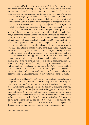della poetica dell'action painting e della graffiti art. Discorso analogo vale anche per i *Police paintings (2014-15)*, lavori basati su ampie e uniformi campiture di colore che concettualmente rievocano quelle effettuate per occultare le scritte che ricoprono i muri cittadini ma visivamente fanno eco alla nozione di segno/gesto/materia concepita in ambito informale.

Insomma, anche se certamente non può dirsi pittore nel senso stretto del termine Nasan Tur risulta essere un autore in forte in dialogo con la pratica pittorica e First shot costituisce una tappa significativa di questo percorso intellettuale, al cui interno convivono diverse anime creative. Così come, del resto, avviene anche per altri autori della sua generazione pronti, anch 'essi, ad adottare contemporaneamente moduli lessicali e tecnici differenti, a percorrere trasversalmente vari campi ideologici ed operativi, ad interpretare liberamente ruoli diversi. La perdita dei valori etici ed intellettuali tradizionali avvenuta al volgere del nuovo Millennio, sostituiti da altri inediti e spesso ancora da decifrare, spinge questi interpreti — e Tur con loro — ad affrontare le questioni al centro dei loro interessi facendo leva tanto sull'intelletto quanto sull'emotività, sulla ragione quanto sulla sensazione, sulla capacità analitica quanto sulla spinta ideologica, assumendo, di caso in caso, strutture espressive diverse. E li induce, inoltre, a rievocare codici operativi appartenenti al lontano come all'immediato passato aggiornandoli alle soluzioni offerte dagli ultimi mezzi tecnologici, calandoli nel contesto contemporaneo. Si tratta di sperimentazioni che si concretizzano per mezzo di un'amplissima gamma di sistemi esecutivi (pittura, scultura, installazione, performance, fotografia, video…) dai toni ora più radicali ed aniconici ora più narrativi ed aperti alle suggestioni figurative individuando, in queste ultime, non un fine ma una delle tante, possibili soluzioni alla presentazione di elaborazioni teoriche e mentali.

Per questo ed altro Nasan Tur può dirsi un assoluto testimone del proprio tempo e *First Shot* ne è un esempio indicativo, capace di sintetizzare efficacemente la ricerca dell'artista in tutta la sua articolazione. Il valore della video installazione, infatti, va ben oltre ciò che apparentemente racconta e sarebbe un grave errore soffermarsi solo sul rapporto 'causa/effetto' che essa mette in atto. Non basta, infatti, analizzare il senso di stupore e, in certo casi, di ansia che essa suscita nello spettatore o assistere al filmato come se fosse la registrazione di un fatto di cronaca. La pistola di Čechov ne è la prova: tutto è chiaro sin dal principio. È opportuno, perciò, andare oltre il dato contingente e contestualizzare *First Shot* all'interno della poetica di Tur considerando quanto esso ne rappresenti un caso esemplare.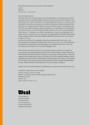This publication appears on the occasion of the exhibition: magic *Nasan Tur* 09.05.2015 — 20.06.2015

#### Text: Pier Paolo Pancotto

Pier Paolo Pancotto is an independent art critic based in Rome. As curator he has promoted, among the others, the exhibitions *Artiste in Italia nel xx secolo*, Seravezza, Palazzo Mediceo, 2004; *Carla Accardi*, Roma, Museo Carlo Bilotti, 2010; *Carsten Nicolai*, Roma, Museo h.c. Andersen, 2010; *Dove Allouche*, Roma, Nomas Foundation, 2012; *Alberto Di Fabio*, Roma, Galleria Nazionale d'Arte Moderna, 2012; London, Estorick Collection, 2013; Paris, Mairie du 4ème, 2013; Napoli, Castel Sant'Elmo 2014; *Günther Förg*, Roma, Museo Carlo Bilotti, 2013; *Daniele Puppi,* Paris, Nuit Blanche 2013; Mairie du 4ème, 2014; *Nico Vascellari,* Bruxelles, Officina 2014; Tirana, 2015; *Nick Oberthaler*, Roma, Museo h.c. Andersen, 2014; *Cyril de Commarque*, Roma, Macro, 2014; *Prego signori si accomodino*, Venezia, Casa Scatturin, 2015 and project with *Cyprien Gaillard, Vedovamazzei, Stefano Arienti, Domenico Mangano, Matthieu Laurette, Arthur Duff, Mat Collishaw, Francesco Simeti,* Roma, Santo Spirito in Sassia, 2008-2011.

As editor he published the monographs *Artiste a Roma nella prima metà del '900*, Roma, 2006; *Arte contemporanea: dal minimalismo alle ultime tendenze*, Roma 2010; 3a rist. 2014, e *Arte contemporanea: dal minimalismo alle ultime tendenze e Arte contemporanea. Il nuovo millennio,* Roma 2013; 1a rist. 2014. He collabotares with *Artforum*, New York and *Il Messaggero*, Roma.

Nasan Tur lives and works in Berlin. Tur has exhibited widely at institutions and galleries internationally, including *Blain|Southern*, Berlin/London; *Centre Pompidou, & Palais de Tokyo*, Paris; *Istanbul Biennial, Tapei Biennial, Christchurch Biennial of art in public space*; *Hamburger Bahnhof – Museum für Gegenwart*, Berlin; *Istanbul Modern*, Museum of Modern Art, Istanbul; *Kunsthalle Mannheim; Kunstmuseum Stuttgart; Kunstraum Innsbruck; MARTa Herford; Martin-Gropius-Bau,* Berlin; *Museum of Contemporary Art*, Thessaloniki; *Neuer Berliner Kunstverein; Schirn Kunsthalle,* Frankfurt; *Staatliche Kunstsammlungen* Dresden; *Thyssen-Bornemisza Art Contemporary*, Vienna; *Times Museum*, Guangzhou.

Images: Nasan Tur *Wealth is Legitimate, Wood printing plate, 2015 &* Nasan Tur *First Shot, HD video, 2014*

Translation: Angela Arnone & Tiny Mulder Printer: Oranje van Loon, Den Haag Thanks: Lex Plompen, Gemeente Den Haag, Mondriaan Fund Published by: West Edition: 1000 isbn: 978—90—79917—50-1

# *West*

Groenewegje 136 2515 LR Den Haag the Netherlands +31 (0)70 392 53 59 www.westdenhaag.nl info@westdenhaag.nl